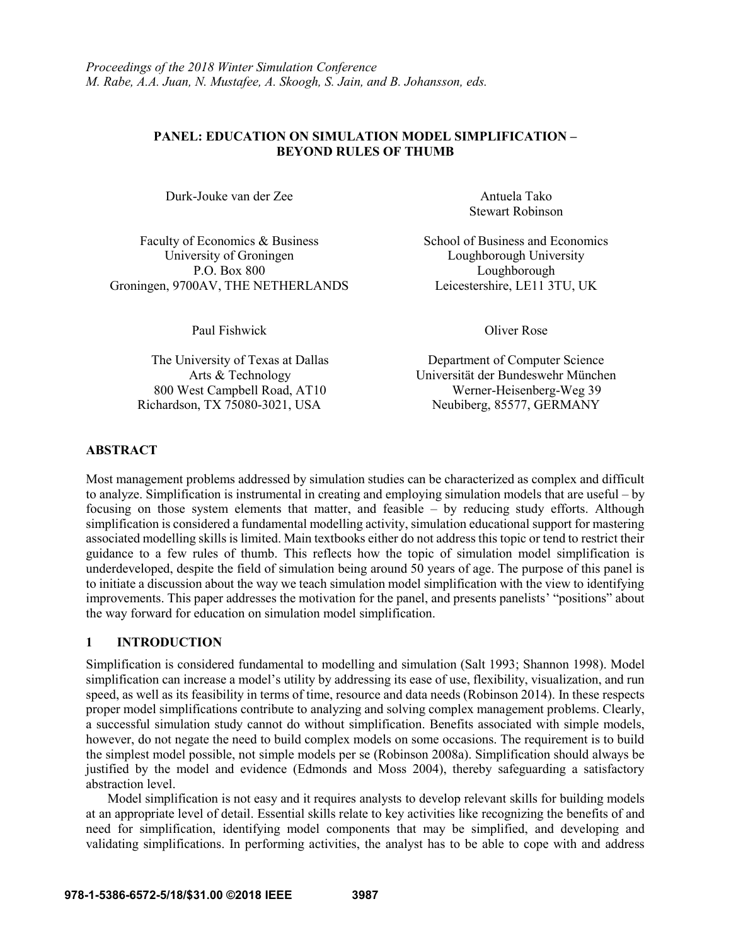## **PANEL: EDUCATION ON SIMULATION MODEL SIMPLIFICATION – BEYOND RULES OF THUMB**

Durk-Jouke van der Zee Antuela Tako

Faculty of Economics & Business School of Business and Economics University of Groningen Loughborough University P.O. Box 800 Loughborough Groningen, 9700AV, THE NETHERLANDS Leicestershire, LE11 3TU, UK

Paul Fishwick Oliver Rose

Richardson, TX 75080-3021, USA Neubiberg, 85577, GERMANY

Stewart Robinson

The University of Texas at Dallas Department of Computer Science Arts & Technology Universität der Bundeswehr München 800 West Campbell Road, AT10 Werner-Heisenberg-Weg 39

## **ABSTRACT**

Most management problems addressed by simulation studies can be characterized as complex and difficult to analyze. Simplification is instrumental in creating and employing simulation models that are useful – by focusing on those system elements that matter, and feasible – by reducing study efforts. Although simplification is considered a fundamental modelling activity, simulation educational support for mastering associated modelling skills is limited. Main textbooks either do not address this topic or tend to restrict their guidance to a few rules of thumb. This reflects how the topic of simulation model simplification is underdeveloped, despite the field of simulation being around 50 years of age. The purpose of this panel is to initiate a discussion about the way we teach simulation model simplification with the view to identifying improvements. This paper addresses the motivation for the panel, and presents panelists' "positions" about the way forward for education on simulation model simplification.

## **1 INTRODUCTION**

Simplification is considered fundamental to modelling and simulation (Salt 1993; Shannon 1998). Model simplification can increase a model's utility by addressing its ease of use, flexibility, visualization, and run speed, as well as its feasibility in terms of time, resource and data needs (Robinson 2014). In these respects proper model simplifications contribute to analyzing and solving complex management problems. Clearly, a successful simulation study cannot do without simplification. Benefits associated with simple models, however, do not negate the need to build complex models on some occasions. The requirement is to build the simplest model possible, not simple models per se (Robinson 2008a). Simplification should always be justified by the model and evidence (Edmonds and Moss 2004), thereby safeguarding a satisfactory abstraction level.

Model simplification is not easy and it requires analysts to develop relevant skills for building models at an appropriate level of detail. Essential skills relate to key activities like recognizing the benefits of and need for simplification, identifying model components that may be simplified, and developing and validating simplifications. In performing activities, the analyst has to be able to cope with and address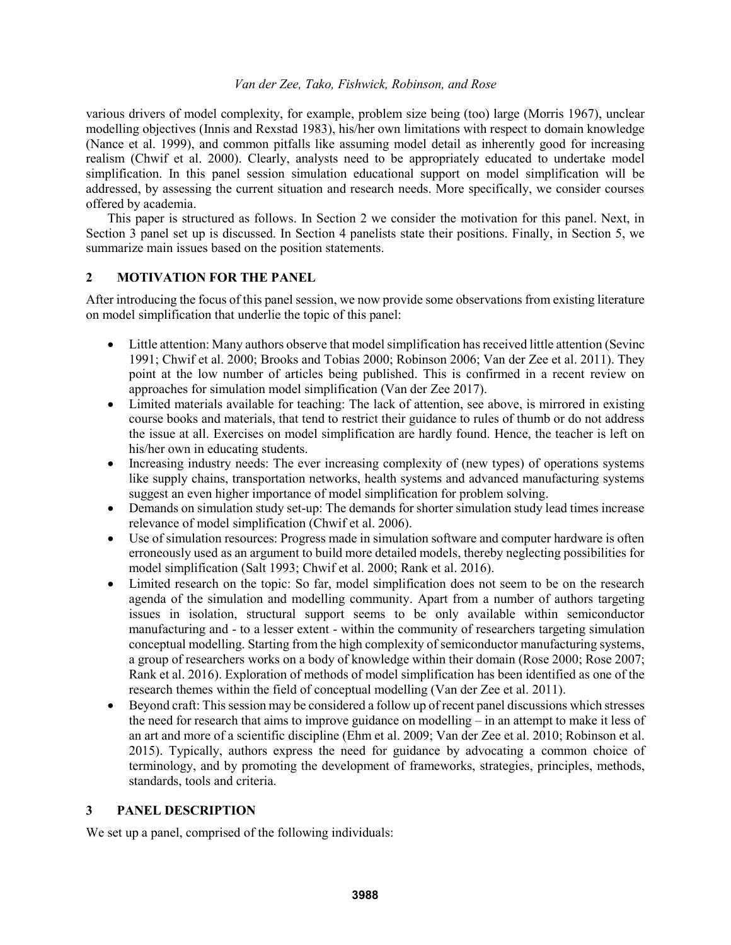various drivers of model complexity, for example, problem size being (too) large (Morris 1967), unclear modelling objectives (Innis and Rexstad 1983), his/her own limitations with respect to domain knowledge (Nance et al. 1999), and common pitfalls like assuming model detail as inherently good for increasing realism (Chwif et al. 2000). Clearly, analysts need to be appropriately educated to undertake model simplification. In this panel session simulation educational support on model simplification will be addressed, by assessing the current situation and research needs. More specifically, we consider courses offered by academia.

This paper is structured as follows. In Section 2 we consider the motivation for this panel. Next, in Section 3 panel set up is discussed. In Section 4 panelists state their positions. Finally, in Section 5, we summarize main issues based on the position statements.

## **2 MOTIVATION FOR THE PANEL**

After introducing the focus of this panel session, we now provide some observations from existing literature on model simplification that underlie the topic of this panel:

- Little attention: Many authors observe that model simplification has received little attention (Sevinc 1991; Chwif et al. 2000; Brooks and Tobias 2000; Robinson 2006; Van der Zee et al. 2011). They point at the low number of articles being published. This is confirmed in a recent review on approaches for simulation model simplification (Van der Zee 2017).
- Limited materials available for teaching: The lack of attention, see above, is mirrored in existing course books and materials, that tend to restrict their guidance to rules of thumb or do not address the issue at all. Exercises on model simplification are hardly found. Hence, the teacher is left on his/her own in educating students.
- Increasing industry needs: The ever increasing complexity of (new types) of operations systems like supply chains, transportation networks, health systems and advanced manufacturing systems suggest an even higher importance of model simplification for problem solving.
- Demands on simulation study set-up: The demands for shorter simulation study lead times increase relevance of model simplification (Chwif et al. 2006).
- Use of simulation resources: Progress made in simulation software and computer hardware is often erroneously used as an argument to build more detailed models, thereby neglecting possibilities for model simplification (Salt 1993; Chwif et al. 2000; Rank et al. 2016).
- Limited research on the topic: So far, model simplification does not seem to be on the research agenda of the simulation and modelling community. Apart from a number of authors targeting issues in isolation, structural support seems to be only available within semiconductor manufacturing and - to a lesser extent - within the community of researchers targeting simulation conceptual modelling. Starting from the high complexity of semiconductor manufacturing systems, a group of researchers works on a body of knowledge within their domain (Rose 2000; Rose 2007; Rank et al. 2016). Exploration of methods of model simplification has been identified as one of the research themes within the field of conceptual modelling (Van der Zee et al. 2011).
- Beyond craft: This session may be considered a follow up of recent panel discussions which stresses the need for research that aims to improve guidance on modelling – in an attempt to make it less of an art and more of a scientific discipline (Ehm et al. 2009; Van der Zee et al. 2010; Robinson et al. 2015). Typically, authors express the need for guidance by advocating a common choice of terminology, and by promoting the development of frameworks, strategies, principles, methods, standards, tools and criteria.

## **3 PANEL DESCRIPTION**

We set up a panel, comprised of the following individuals: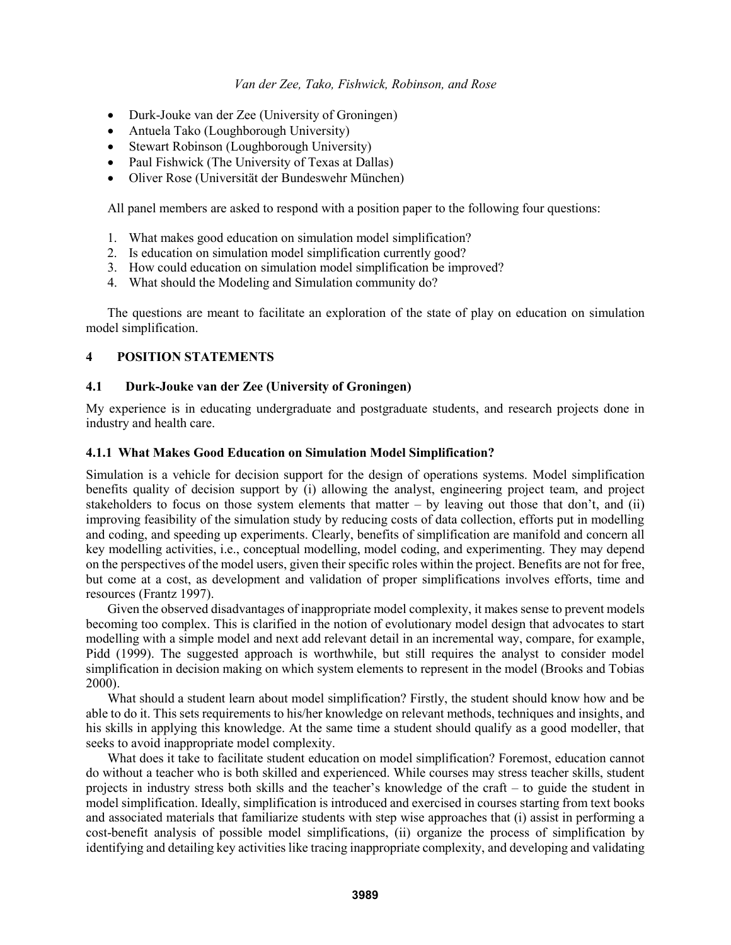- Durk-Jouke van der Zee (University of Groningen)
- Antuela Tako (Loughborough University)
- Stewart Robinson (Loughborough University)
- Paul Fishwick (The University of Texas at Dallas)
- Oliver Rose (Universität der Bundeswehr München)

All panel members are asked to respond with a position paper to the following four questions:

- 1. What makes good education on simulation model simplification?
- 2. Is education on simulation model simplification currently good?
- 3. How could education on simulation model simplification be improved?
- 4. What should the Modeling and Simulation community do?

The questions are meant to facilitate an exploration of the state of play on education on simulation model simplification.

# **4 POSITION STATEMENTS**

## **4.1 Durk-Jouke van der Zee (University of Groningen)**

My experience is in educating undergraduate and postgraduate students, and research projects done in industry and health care.

### **4.1.1 What Makes Good Education on Simulation Model Simplification?**

Simulation is a vehicle for decision support for the design of operations systems. Model simplification benefits quality of decision support by (i) allowing the analyst, engineering project team, and project stakeholders to focus on those system elements that matter – by leaving out those that don't, and (ii) improving feasibility of the simulation study by reducing costs of data collection, efforts put in modelling and coding, and speeding up experiments. Clearly, benefits of simplification are manifold and concern all key modelling activities, i.e., conceptual modelling, model coding, and experimenting. They may depend on the perspectives of the model users, given their specific roles within the project. Benefits are not for free, but come at a cost, as development and validation of proper simplifications involves efforts, time and resources (Frantz 1997).

Given the observed disadvantages of inappropriate model complexity, it makes sense to prevent models becoming too complex. This is clarified in the notion of evolutionary model design that advocates to start modelling with a simple model and next add relevant detail in an incremental way, compare, for example, Pidd (1999). The suggested approach is worthwhile, but still requires the analyst to consider model simplification in decision making on which system elements to represent in the model (Brooks and Tobias 2000).

What should a student learn about model simplification? Firstly, the student should know how and be able to do it. This sets requirements to his/her knowledge on relevant methods, techniques and insights, and his skills in applying this knowledge. At the same time a student should qualify as a good modeller, that seeks to avoid inappropriate model complexity.

What does it take to facilitate student education on model simplification? Foremost, education cannot do without a teacher who is both skilled and experienced. While courses may stress teacher skills, student projects in industry stress both skills and the teacher's knowledge of the craft – to guide the student in model simplification. Ideally, simplification is introduced and exercised in courses starting from text books and associated materials that familiarize students with step wise approaches that (i) assist in performing a cost-benefit analysis of possible model simplifications, (ii) organize the process of simplification by identifying and detailing key activities like tracing inappropriate complexity, and developing and validating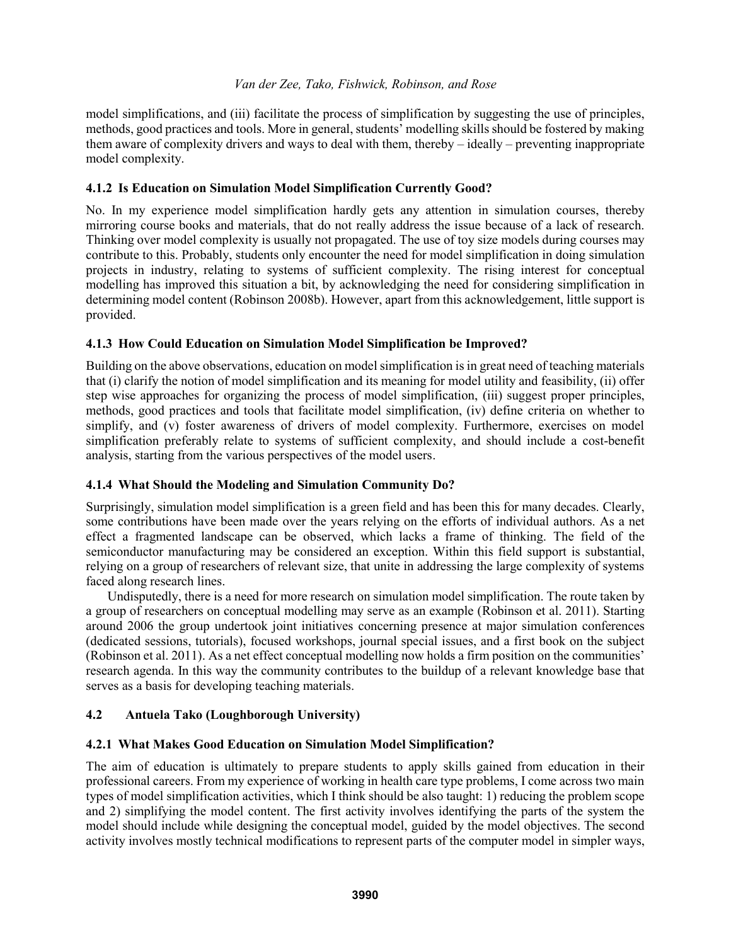model simplifications, and (iii) facilitate the process of simplification by suggesting the use of principles, methods, good practices and tools. More in general, students' modelling skills should be fostered by making them aware of complexity drivers and ways to deal with them, thereby – ideally – preventing inappropriate model complexity.

# **4.1.2 Is Education on Simulation Model Simplification Currently Good?**

No. In my experience model simplification hardly gets any attention in simulation courses, thereby mirroring course books and materials, that do not really address the issue because of a lack of research. Thinking over model complexity is usually not propagated. The use of toy size models during courses may contribute to this. Probably, students only encounter the need for model simplification in doing simulation projects in industry, relating to systems of sufficient complexity. The rising interest for conceptual modelling has improved this situation a bit, by acknowledging the need for considering simplification in determining model content (Robinson 2008b). However, apart from this acknowledgement, little support is provided.

# **4.1.3 How Could Education on Simulation Model Simplification be Improved?**

Building on the above observations, education on model simplification is in great need of teaching materials that (i) clarify the notion of model simplification and its meaning for model utility and feasibility, (ii) offer step wise approaches for organizing the process of model simplification, (iii) suggest proper principles, methods, good practices and tools that facilitate model simplification, (iv) define criteria on whether to simplify, and (v) foster awareness of drivers of model complexity. Furthermore, exercises on model simplification preferably relate to systems of sufficient complexity, and should include a cost-benefit analysis, starting from the various perspectives of the model users.

## **4.1.4 What Should the Modeling and Simulation Community Do?**

Surprisingly, simulation model simplification is a green field and has been this for many decades. Clearly, some contributions have been made over the years relying on the efforts of individual authors. As a net effect a fragmented landscape can be observed, which lacks a frame of thinking. The field of the semiconductor manufacturing may be considered an exception. Within this field support is substantial, relying on a group of researchers of relevant size, that unite in addressing the large complexity of systems faced along research lines.

Undisputedly, there is a need for more research on simulation model simplification. The route taken by a group of researchers on conceptual modelling may serve as an example (Robinson et al. 2011). Starting around 2006 the group undertook joint initiatives concerning presence at major simulation conferences (dedicated sessions, tutorials), focused workshops, journal special issues, and a first book on the subject (Robinson et al. 2011). As a net effect conceptual modelling now holds a firm position on the communities' research agenda. In this way the community contributes to the buildup of a relevant knowledge base that serves as a basis for developing teaching materials.

# **4.2 Antuela Tako (Loughborough University)**

## **4.2.1 What Makes Good Education on Simulation Model Simplification?**

The aim of education is ultimately to prepare students to apply skills gained from education in their professional careers. From my experience of working in health care type problems, I come across two main types of model simplification activities, which I think should be also taught: 1) reducing the problem scope and 2) simplifying the model content. The first activity involves identifying the parts of the system the model should include while designing the conceptual model, guided by the model objectives. The second activity involves mostly technical modifications to represent parts of the computer model in simpler ways,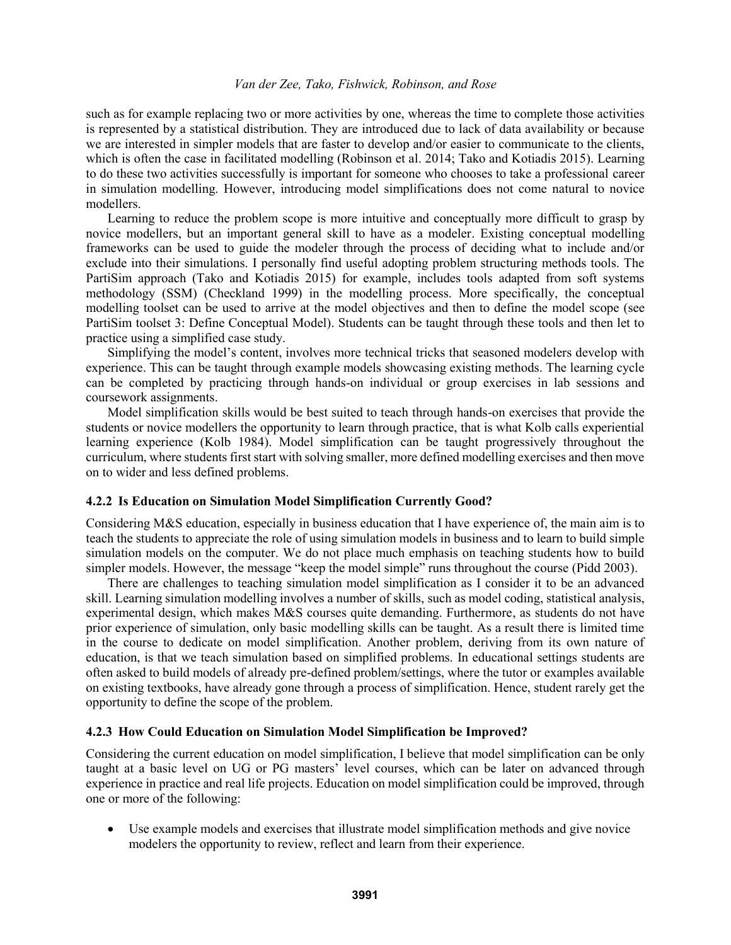such as for example replacing two or more activities by one, whereas the time to complete those activities is represented by a statistical distribution. They are introduced due to lack of data availability or because we are interested in simpler models that are faster to develop and/or easier to communicate to the clients, which is often the case in facilitated modelling (Robinson et al. 2014; Tako and Kotiadis 2015). Learning to do these two activities successfully is important for someone who chooses to take a professional career in simulation modelling. However, introducing model simplifications does not come natural to novice modellers.

Learning to reduce the problem scope is more intuitive and conceptually more difficult to grasp by novice modellers, but an important general skill to have as a modeler. Existing conceptual modelling frameworks can be used to guide the modeler through the process of deciding what to include and/or exclude into their simulations. I personally find useful adopting problem structuring methods tools. The PartiSim approach (Tako and Kotiadis 2015) for example, includes tools adapted from soft systems methodology (SSM) (Checkland 1999) in the modelling process. More specifically, the conceptual modelling toolset can be used to arrive at the model objectives and then to define the model scope (see PartiSim toolset 3: Define Conceptual Model). Students can be taught through these tools and then let to practice using a simplified case study.

Simplifying the model's content, involves more technical tricks that seasoned modelers develop with experience. This can be taught through example models showcasing existing methods. The learning cycle can be completed by practicing through hands-on individual or group exercises in lab sessions and coursework assignments.

Model simplification skills would be best suited to teach through hands-on exercises that provide the students or novice modellers the opportunity to learn through practice, that is what Kolb calls experiential learning experience (Kolb 1984). Model simplification can be taught progressively throughout the curriculum, where students first start with solving smaller, more defined modelling exercises and then move on to wider and less defined problems.

#### **4.2.2 Is Education on Simulation Model Simplification Currently Good?**

Considering M&S education, especially in business education that I have experience of, the main aim is to teach the students to appreciate the role of using simulation models in business and to learn to build simple simulation models on the computer. We do not place much emphasis on teaching students how to build simpler models. However, the message "keep the model simple" runs throughout the course (Pidd 2003).

There are challenges to teaching simulation model simplification as I consider it to be an advanced skill. Learning simulation modelling involves a number of skills, such as model coding, statistical analysis, experimental design, which makes M&S courses quite demanding. Furthermore, as students do not have prior experience of simulation, only basic modelling skills can be taught. As a result there is limited time in the course to dedicate on model simplification. Another problem, deriving from its own nature of education, is that we teach simulation based on simplified problems. In educational settings students are often asked to build models of already pre-defined problem/settings, where the tutor or examples available on existing textbooks, have already gone through a process of simplification. Hence, student rarely get the opportunity to define the scope of the problem.

## **4.2.3 How Could Education on Simulation Model Simplification be Improved?**

Considering the current education on model simplification, I believe that model simplification can be only taught at a basic level on UG or PG masters' level courses, which can be later on advanced through experience in practice and real life projects. Education on model simplification could be improved, through one or more of the following:

 Use example models and exercises that illustrate model simplification methods and give novice modelers the opportunity to review, reflect and learn from their experience.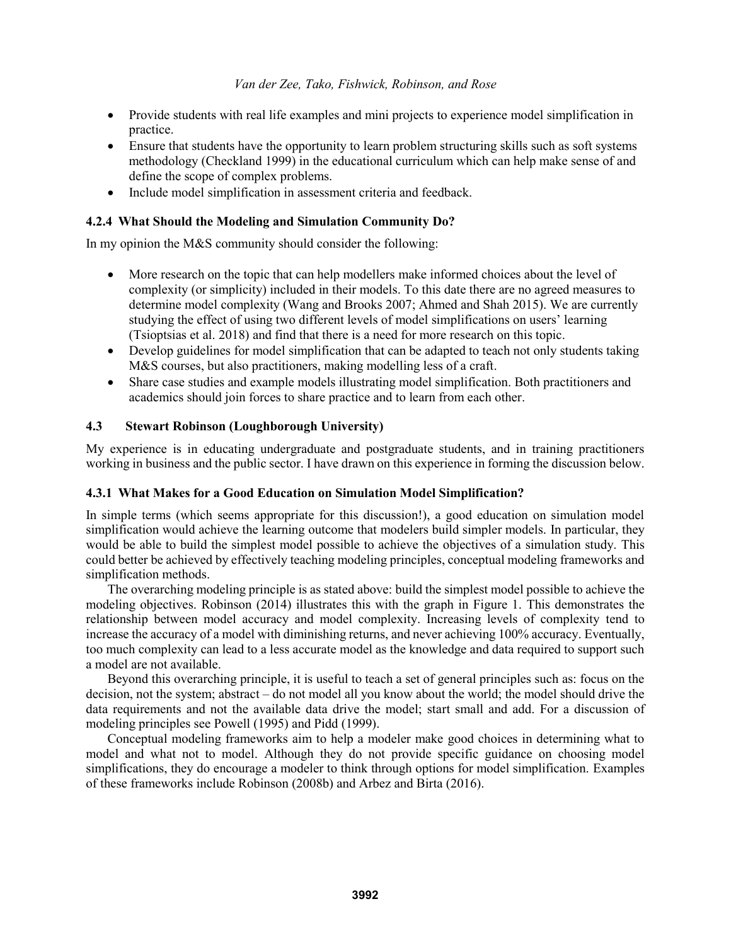- Provide students with real life examples and mini projects to experience model simplification in practice.
- Ensure that students have the opportunity to learn problem structuring skills such as soft systems methodology (Checkland 1999) in the educational curriculum which can help make sense of and define the scope of complex problems.
- Include model simplification in assessment criteria and feedback.

## **4.2.4 What Should the Modeling and Simulation Community Do?**

In my opinion the M&S community should consider the following:

- More research on the topic that can help modellers make informed choices about the level of complexity (or simplicity) included in their models. To this date there are no agreed measures to determine model complexity (Wang and Brooks 2007; Ahmed and Shah 2015). We are currently studying the effect of using two different levels of model simplifications on users' learning (Tsioptsias et al. 2018) and find that there is a need for more research on this topic.
- Develop guidelines for model simplification that can be adapted to teach not only students taking M&S courses, but also practitioners, making modelling less of a craft.
- Share case studies and example models illustrating model simplification. Both practitioners and academics should join forces to share practice and to learn from each other.

# **4.3 Stewart Robinson (Loughborough University)**

My experience is in educating undergraduate and postgraduate students, and in training practitioners working in business and the public sector. I have drawn on this experience in forming the discussion below.

## **4.3.1 What Makes for a Good Education on Simulation Model Simplification?**

In simple terms (which seems appropriate for this discussion!), a good education on simulation model simplification would achieve the learning outcome that modelers build simpler models. In particular, they would be able to build the simplest model possible to achieve the objectives of a simulation study. This could better be achieved by effectively teaching modeling principles, conceptual modeling frameworks and simplification methods.

The overarching modeling principle is as stated above: build the simplest model possible to achieve the modeling objectives. Robinson (2014) illustrates this with the graph in Figure 1. This demonstrates the relationship between model accuracy and model complexity. Increasing levels of complexity tend to increase the accuracy of a model with diminishing returns, and never achieving 100% accuracy. Eventually, too much complexity can lead to a less accurate model as the knowledge and data required to support such a model are not available.

Beyond this overarching principle, it is useful to teach a set of general principles such as: focus on the decision, not the system; abstract – do not model all you know about the world; the model should drive the data requirements and not the available data drive the model; start small and add. For a discussion of modeling principles see Powell (1995) and Pidd (1999).

Conceptual modeling frameworks aim to help a modeler make good choices in determining what to model and what not to model. Although they do not provide specific guidance on choosing model simplifications, they do encourage a modeler to think through options for model simplification. Examples of these frameworks include Robinson (2008b) and Arbez and Birta (2016).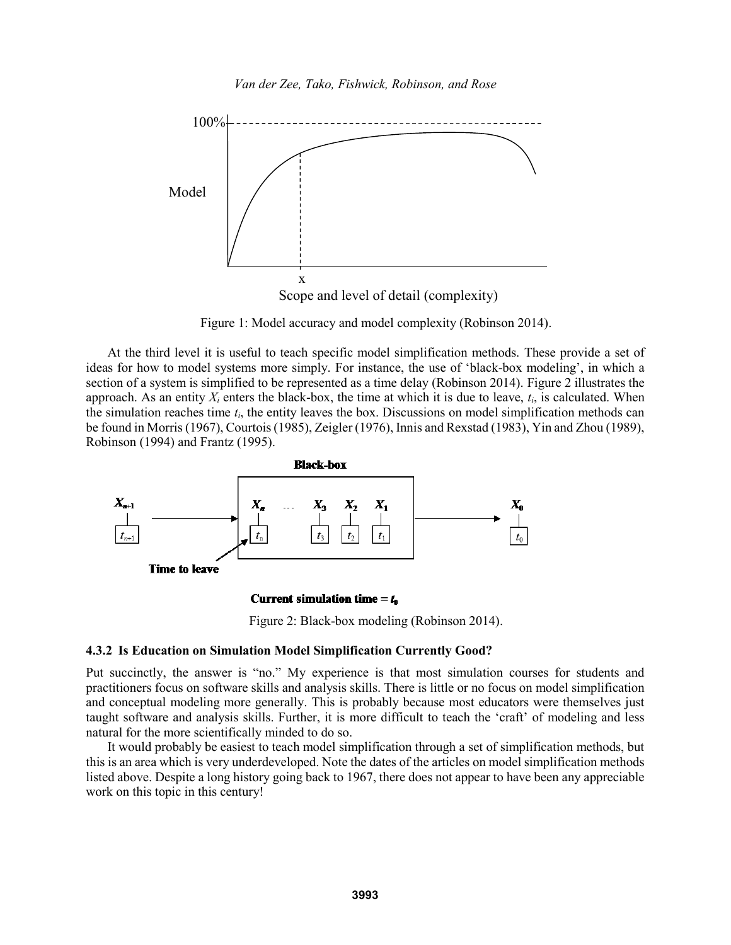

Figure 1: Model accuracy and model complexity (Robinson 2014).

At the third level it is useful to teach specific model simplification methods. These provide a set of ideas for how to model systems more simply. For instance, the use of 'black-box modeling', in which a section of a system is simplified to be represented as a time delay (Robinson 2014). Figure 2 illustrates the approach. As an entity  $X_i$  enters the black-box, the time at which it is due to leave,  $t_i$ , is calculated. When the simulation reaches time  $t_i$ , the entity leaves the box. Discussions on model simplification methods can be found in Morris (1967), Courtois (1985), Zeigler (1976), Innis and Rexstad (1983), Yin and Zhou (1989), Robinson (1994) and Frantz (1995).



Current simulation time =  $t_0$ 

Figure 2: Black-box modeling (Robinson 2014).

#### **4.3.2 Is Education on Simulation Model Simplification Currently Good?**

Put succinctly, the answer is "no." My experience is that most simulation courses for students and practitioners focus on software skills and analysis skills. There is little or no focus on model simplification and conceptual modeling more generally. This is probably because most educators were themselves just taught software and analysis skills. Further, it is more difficult to teach the 'craft' of modeling and less natural for the more scientifically minded to do so.

It would probably be easiest to teach model simplification through a set of simplification methods, but this is an area which is very underdeveloped. Note the dates of the articles on model simplification methods listed above. Despite a long history going back to 1967, there does not appear to have been any appreciable work on this topic in this century!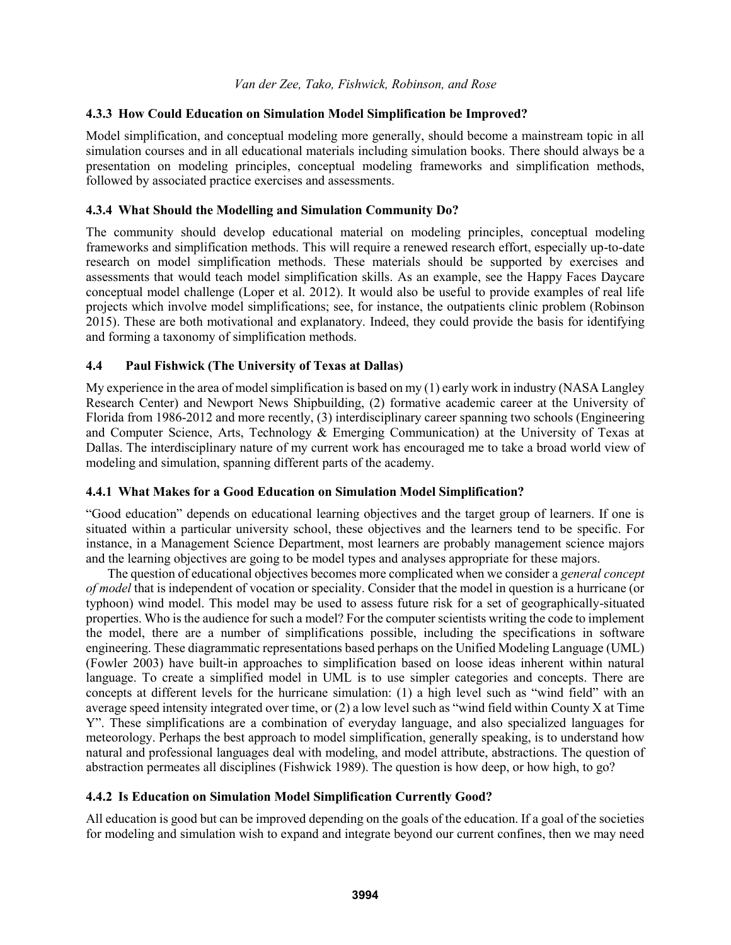## **4.3.3 How Could Education on Simulation Model Simplification be Improved?**

Model simplification, and conceptual modeling more generally, should become a mainstream topic in all simulation courses and in all educational materials including simulation books. There should always be a presentation on modeling principles, conceptual modeling frameworks and simplification methods, followed by associated practice exercises and assessments.

### **4.3.4 What Should the Modelling and Simulation Community Do?**

The community should develop educational material on modeling principles, conceptual modeling frameworks and simplification methods. This will require a renewed research effort, especially up-to-date research on model simplification methods. These materials should be supported by exercises and assessments that would teach model simplification skills. As an example, see the Happy Faces Daycare conceptual model challenge (Loper et al. 2012). It would also be useful to provide examples of real life projects which involve model simplifications; see, for instance, the outpatients clinic problem (Robinson 2015). These are both motivational and explanatory. Indeed, they could provide the basis for identifying and forming a taxonomy of simplification methods.

## **4.4 Paul Fishwick (The University of Texas at Dallas)**

My experience in the area of model simplification is based on my (1) early work in industry (NASA Langley Research Center) and Newport News Shipbuilding, (2) formative academic career at the University of Florida from 1986-2012 and more recently, (3) interdisciplinary career spanning two schools (Engineering and Computer Science, Arts, Technology & Emerging Communication) at the University of Texas at Dallas. The interdisciplinary nature of my current work has encouraged me to take a broad world view of modeling and simulation, spanning different parts of the academy.

## **4.4.1 What Makes for a Good Education on Simulation Model Simplification?**

"Good education" depends on educational learning objectives and the target group of learners. If one is situated within a particular university school, these objectives and the learners tend to be specific. For instance, in a Management Science Department, most learners are probably management science majors and the learning objectives are going to be model types and analyses appropriate for these majors.

The question of educational objectives becomes more complicated when we consider a *general concept of model* that is independent of vocation or speciality. Consider that the model in question is a hurricane (or typhoon) wind model. This model may be used to assess future risk for a set of geographically-situated properties. Who is the audience for such a model? For the computer scientists writing the code to implement the model, there are a number of simplifications possible, including the specifications in software engineering. These diagrammatic representations based perhaps on the Unified Modeling Language (UML) (Fowler 2003) have built-in approaches to simplification based on loose ideas inherent within natural language. To create a simplified model in UML is to use simpler categories and concepts. There are concepts at different levels for the hurricane simulation: (1) a high level such as "wind field" with an average speed intensity integrated over time, or (2) a low level such as "wind field within County X at Time Y". These simplifications are a combination of everyday language, and also specialized languages for meteorology. Perhaps the best approach to model simplification, generally speaking, is to understand how natural and professional languages deal with modeling, and model attribute, abstractions. The question of abstraction permeates all disciplines (Fishwick 1989). The question is how deep, or how high, to go?

### **4.4.2 Is Education on Simulation Model Simplification Currently Good?**

All education is good but can be improved depending on the goals of the education. If a goal of the societies for modeling and simulation wish to expand and integrate beyond our current confines, then we may need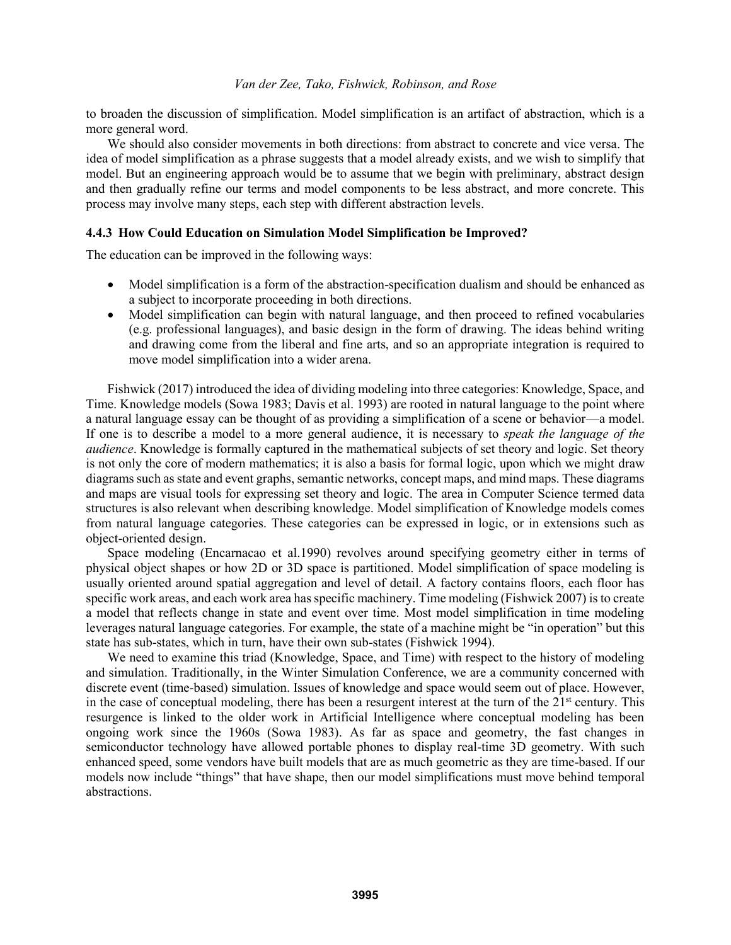to broaden the discussion of simplification. Model simplification is an artifact of abstraction, which is a more general word.

We should also consider movements in both directions: from abstract to concrete and vice versa. The idea of model simplification as a phrase suggests that a model already exists, and we wish to simplify that model. But an engineering approach would be to assume that we begin with preliminary, abstract design and then gradually refine our terms and model components to be less abstract, and more concrete. This process may involve many steps, each step with different abstraction levels.

#### **4.4.3 How Could Education on Simulation Model Simplification be Improved?**

The education can be improved in the following ways:

- Model simplification is a form of the abstraction-specification dualism and should be enhanced as a subject to incorporate proceeding in both directions.
- Model simplification can begin with natural language, and then proceed to refined vocabularies (e.g. professional languages), and basic design in the form of drawing. The ideas behind writing and drawing come from the liberal and fine arts, and so an appropriate integration is required to move model simplification into a wider arena.

Fishwick (2017) introduced the idea of dividing modeling into three categories: Knowledge, Space, and Time. Knowledge models (Sowa 1983; Davis et al. 1993) are rooted in natural language to the point where a natural language essay can be thought of as providing a simplification of a scene or behavior—a model. If one is to describe a model to a more general audience, it is necessary to *speak the language of the audience*. Knowledge is formally captured in the mathematical subjects of set theory and logic. Set theory is not only the core of modern mathematics; it is also a basis for formal logic, upon which we might draw diagrams such as state and event graphs, semantic networks, concept maps, and mind maps. These diagrams and maps are visual tools for expressing set theory and logic. The area in Computer Science termed data structures is also relevant when describing knowledge. Model simplification of Knowledge models comes from natural language categories. These categories can be expressed in logic, or in extensions such as object-oriented design.

Space modeling (Encarnacao et al.1990) revolves around specifying geometry either in terms of physical object shapes or how 2D or 3D space is partitioned. Model simplification of space modeling is usually oriented around spatial aggregation and level of detail. A factory contains floors, each floor has specific work areas, and each work area has specific machinery. Time modeling (Fishwick 2007) is to create a model that reflects change in state and event over time. Most model simplification in time modeling leverages natural language categories. For example, the state of a machine might be "in operation" but this state has sub-states, which in turn, have their own sub-states (Fishwick 1994).

We need to examine this triad (Knowledge, Space, and Time) with respect to the history of modeling and simulation. Traditionally, in the Winter Simulation Conference, we are a community concerned with discrete event (time-based) simulation. Issues of knowledge and space would seem out of place. However, in the case of conceptual modeling, there has been a resurgent interest at the turn of the  $21<sup>st</sup>$  century. This resurgence is linked to the older work in Artificial Intelligence where conceptual modeling has been ongoing work since the 1960s (Sowa 1983). As far as space and geometry, the fast changes in semiconductor technology have allowed portable phones to display real-time 3D geometry. With such enhanced speed, some vendors have built models that are as much geometric as they are time-based. If our models now include "things" that have shape, then our model simplifications must move behind temporal abstractions.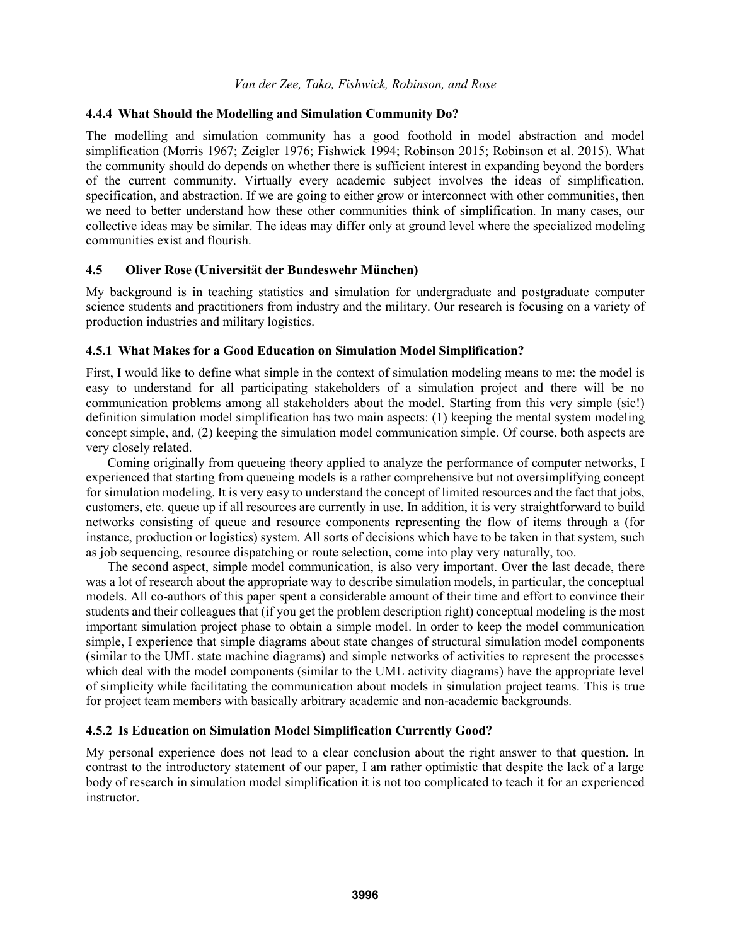### **4.4.4 What Should the Modelling and Simulation Community Do?**

The modelling and simulation community has a good foothold in model abstraction and model simplification (Morris 1967; Zeigler 1976; Fishwick 1994; Robinson 2015; Robinson et al. 2015). What the community should do depends on whether there is sufficient interest in expanding beyond the borders of the current community. Virtually every academic subject involves the ideas of simplification, specification, and abstraction. If we are going to either grow or interconnect with other communities, then we need to better understand how these other communities think of simplification. In many cases, our collective ideas may be similar. The ideas may differ only at ground level where the specialized modeling communities exist and flourish.

## **4.5 Oliver Rose (Universität der Bundeswehr München)**

My background is in teaching statistics and simulation for undergraduate and postgraduate computer science students and practitioners from industry and the military. Our research is focusing on a variety of production industries and military logistics.

### **4.5.1 What Makes for a Good Education on Simulation Model Simplification?**

First, I would like to define what simple in the context of simulation modeling means to me: the model is easy to understand for all participating stakeholders of a simulation project and there will be no communication problems among all stakeholders about the model. Starting from this very simple (sic!) definition simulation model simplification has two main aspects: (1) keeping the mental system modeling concept simple, and, (2) keeping the simulation model communication simple. Of course, both aspects are very closely related.

Coming originally from queueing theory applied to analyze the performance of computer networks, I experienced that starting from queueing models is a rather comprehensive but not oversimplifying concept for simulation modeling. It is very easy to understand the concept of limited resources and the fact that jobs, customers, etc. queue up if all resources are currently in use. In addition, it is very straightforward to build networks consisting of queue and resource components representing the flow of items through a (for instance, production or logistics) system. All sorts of decisions which have to be taken in that system, such as job sequencing, resource dispatching or route selection, come into play very naturally, too.

The second aspect, simple model communication, is also very important. Over the last decade, there was a lot of research about the appropriate way to describe simulation models, in particular, the conceptual models. All co-authors of this paper spent a considerable amount of their time and effort to convince their students and their colleagues that (if you get the problem description right) conceptual modeling is the most important simulation project phase to obtain a simple model. In order to keep the model communication simple, I experience that simple diagrams about state changes of structural simulation model components (similar to the UML state machine diagrams) and simple networks of activities to represent the processes which deal with the model components (similar to the UML activity diagrams) have the appropriate level of simplicity while facilitating the communication about models in simulation project teams. This is true for project team members with basically arbitrary academic and non-academic backgrounds.

## **4.5.2 Is Education on Simulation Model Simplification Currently Good?**

My personal experience does not lead to a clear conclusion about the right answer to that question. In contrast to the introductory statement of our paper, I am rather optimistic that despite the lack of a large body of research in simulation model simplification it is not too complicated to teach it for an experienced instructor.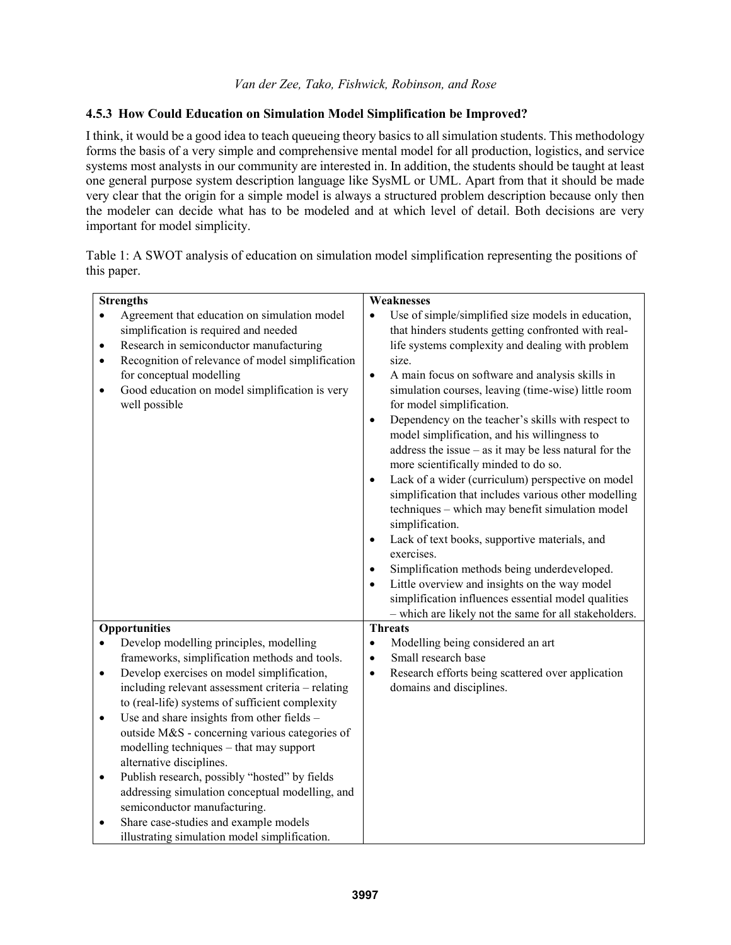# **4.5.3 How Could Education on Simulation Model Simplification be Improved?**

I think, it would be a good idea to teach queueing theory basics to all simulation students. This methodology forms the basis of a very simple and comprehensive mental model for all production, logistics, and service systems most analysts in our community are interested in. In addition, the students should be taught at least one general purpose system description language like SysML or UML. Apart from that it should be made very clear that the origin for a simple model is always a structured problem description because only then the modeler can decide what has to be modeled and at which level of detail. Both decisions are very important for model simplicity.

Table 1: A SWOT analysis of education on simulation model simplification representing the positions of this paper.

| <b>Strengths</b>                                 |                                                                                                                                                                                                                                                                                     | Weaknesses                                                                                                                                                                                                                                                                                                                                                                                                                                                                                                                                                                                                                                                                                                                                                                                                                                                                                                                                                                                                                                                                           |
|--------------------------------------------------|-------------------------------------------------------------------------------------------------------------------------------------------------------------------------------------------------------------------------------------------------------------------------------------|--------------------------------------------------------------------------------------------------------------------------------------------------------------------------------------------------------------------------------------------------------------------------------------------------------------------------------------------------------------------------------------------------------------------------------------------------------------------------------------------------------------------------------------------------------------------------------------------------------------------------------------------------------------------------------------------------------------------------------------------------------------------------------------------------------------------------------------------------------------------------------------------------------------------------------------------------------------------------------------------------------------------------------------------------------------------------------------|
| $\bullet$<br>$\bullet$<br>$\bullet$<br>$\bullet$ | Agreement that education on simulation model<br>simplification is required and needed<br>Research in semiconductor manufacturing<br>Recognition of relevance of model simplification<br>for conceptual modelling<br>Good education on model simplification is very<br>well possible | Use of simple/simplified size models in education,<br>$\bullet$<br>that hinders students getting confronted with real-<br>life systems complexity and dealing with problem<br>size.<br>A main focus on software and analysis skills in<br>$\bullet$<br>simulation courses, leaving (time-wise) little room<br>for model simplification.<br>Dependency on the teacher's skills with respect to<br>$\bullet$<br>model simplification, and his willingness to<br>address the issue $-$ as it may be less natural for the<br>more scientifically minded to do so.<br>Lack of a wider (curriculum) perspective on model<br>$\bullet$<br>simplification that includes various other modelling<br>techniques - which may benefit simulation model<br>simplification.<br>Lack of text books, supportive materials, and<br>$\bullet$<br>exercises.<br>Simplification methods being underdeveloped.<br>$\bullet$<br>Little overview and insights on the way model<br>$\bullet$<br>simplification influences essential model qualities<br>- which are likely not the same for all stakeholders. |
| <b>Opportunities</b>                             |                                                                                                                                                                                                                                                                                     | <b>Threats</b>                                                                                                                                                                                                                                                                                                                                                                                                                                                                                                                                                                                                                                                                                                                                                                                                                                                                                                                                                                                                                                                                       |
| $\bullet$                                        | Develop modelling principles, modelling                                                                                                                                                                                                                                             | Modelling being considered an art<br>$\bullet$                                                                                                                                                                                                                                                                                                                                                                                                                                                                                                                                                                                                                                                                                                                                                                                                                                                                                                                                                                                                                                       |
|                                                  | frameworks, simplification methods and tools.                                                                                                                                                                                                                                       | Small research base<br>$\bullet$                                                                                                                                                                                                                                                                                                                                                                                                                                                                                                                                                                                                                                                                                                                                                                                                                                                                                                                                                                                                                                                     |
| $\bullet$                                        | Develop exercises on model simplification,                                                                                                                                                                                                                                          | Research efforts being scattered over application<br>$\bullet$                                                                                                                                                                                                                                                                                                                                                                                                                                                                                                                                                                                                                                                                                                                                                                                                                                                                                                                                                                                                                       |
|                                                  | including relevant assessment criteria - relating                                                                                                                                                                                                                                   | domains and disciplines.                                                                                                                                                                                                                                                                                                                                                                                                                                                                                                                                                                                                                                                                                                                                                                                                                                                                                                                                                                                                                                                             |
|                                                  | to (real-life) systems of sufficient complexity                                                                                                                                                                                                                                     |                                                                                                                                                                                                                                                                                                                                                                                                                                                                                                                                                                                                                                                                                                                                                                                                                                                                                                                                                                                                                                                                                      |
| $\bullet$                                        | Use and share insights from other fields -                                                                                                                                                                                                                                          |                                                                                                                                                                                                                                                                                                                                                                                                                                                                                                                                                                                                                                                                                                                                                                                                                                                                                                                                                                                                                                                                                      |
|                                                  | outside M&S - concerning various categories of                                                                                                                                                                                                                                      |                                                                                                                                                                                                                                                                                                                                                                                                                                                                                                                                                                                                                                                                                                                                                                                                                                                                                                                                                                                                                                                                                      |
|                                                  | modelling techniques - that may support                                                                                                                                                                                                                                             |                                                                                                                                                                                                                                                                                                                                                                                                                                                                                                                                                                                                                                                                                                                                                                                                                                                                                                                                                                                                                                                                                      |
|                                                  | alternative disciplines.                                                                                                                                                                                                                                                            |                                                                                                                                                                                                                                                                                                                                                                                                                                                                                                                                                                                                                                                                                                                                                                                                                                                                                                                                                                                                                                                                                      |
| $\bullet$                                        | Publish research, possibly "hosted" by fields                                                                                                                                                                                                                                       |                                                                                                                                                                                                                                                                                                                                                                                                                                                                                                                                                                                                                                                                                                                                                                                                                                                                                                                                                                                                                                                                                      |
|                                                  | addressing simulation conceptual modelling, and                                                                                                                                                                                                                                     |                                                                                                                                                                                                                                                                                                                                                                                                                                                                                                                                                                                                                                                                                                                                                                                                                                                                                                                                                                                                                                                                                      |
|                                                  | semiconductor manufacturing.                                                                                                                                                                                                                                                        |                                                                                                                                                                                                                                                                                                                                                                                                                                                                                                                                                                                                                                                                                                                                                                                                                                                                                                                                                                                                                                                                                      |
| $\bullet$                                        | Share case-studies and example models                                                                                                                                                                                                                                               |                                                                                                                                                                                                                                                                                                                                                                                                                                                                                                                                                                                                                                                                                                                                                                                                                                                                                                                                                                                                                                                                                      |
|                                                  | illustrating simulation model simplification.                                                                                                                                                                                                                                       |                                                                                                                                                                                                                                                                                                                                                                                                                                                                                                                                                                                                                                                                                                                                                                                                                                                                                                                                                                                                                                                                                      |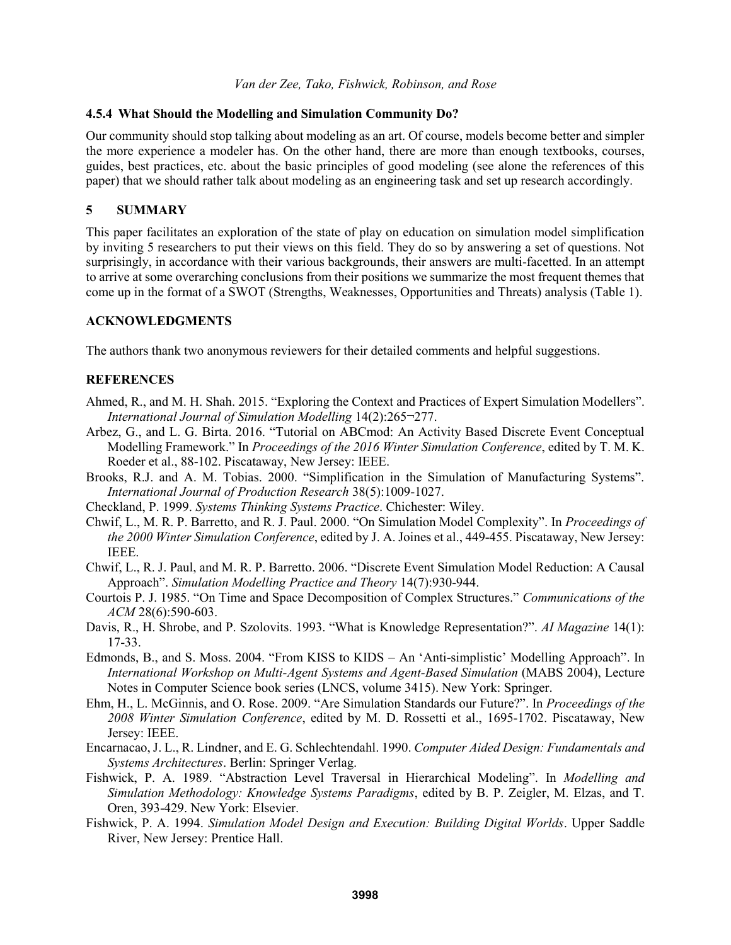### **4.5.4 What Should the Modelling and Simulation Community Do?**

Our community should stop talking about modeling as an art. Of course, models become better and simpler the more experience a modeler has. On the other hand, there are more than enough textbooks, courses, guides, best practices, etc. about the basic principles of good modeling (see alone the references of this paper) that we should rather talk about modeling as an engineering task and set up research accordingly.

# **5 SUMMARY**

This paper facilitates an exploration of the state of play on education on simulation model simplification by inviting 5 researchers to put their views on this field. They do so by answering a set of questions. Not surprisingly, in accordance with their various backgrounds, their answers are multi-facetted. In an attempt to arrive at some overarching conclusions from their positions we summarize the most frequent themes that come up in the format of a SWOT (Strengths, Weaknesses, Opportunities and Threats) analysis (Table 1).

## **ACKNOWLEDGMENTS**

The authors thank two anonymous reviewers for their detailed comments and helpful suggestions.

## **REFERENCES**

- Ahmed, R., and M. H. Shah. 2015. "Exploring the Context and Practices of Expert Simulation Modellers". *International Journal of Simulation Modelling* 14(2):265¬277.
- Arbez, G., and L. G. Birta. 2016. "Tutorial on ABCmod: An Activity Based Discrete Event Conceptual Modelling Framework." In *Proceedings of the 2016 Winter Simulation Conference*, edited by T. M. K. Roeder et al., 88-102. Piscataway, New Jersey: IEEE.
- Brooks, R.J. and A. M. Tobias. 2000. "Simplification in the Simulation of Manufacturing Systems". *International Journal of Production Research* 38(5):1009-1027.
- Checkland, P. 1999. *Systems Thinking Systems Practice*. Chichester: Wiley.
- Chwif, L., M. R. P. Barretto, and R. J. Paul. 2000. "On Simulation Model Complexity". In *Proceedings of the 2000 Winter Simulation Conference*, edited by J. A. Joines et al., 449-455. Piscataway, New Jersey: IEEE.
- Chwif, L., R. J. Paul, and M. R. P. Barretto. 2006. "Discrete Event Simulation Model Reduction: A Causal Approach". *Simulation Modelling Practice and Theory* 14(7):930-944.
- Courtois P. J. 1985. "On Time and Space Decomposition of Complex Structures." *Communications of the ACM* 28(6):590-603.
- Davis, R., H. Shrobe, and P. Szolovits. 1993. "What is Knowledge Representation?". *AI Magazine* 14(1): 17-33.
- Edmonds, B., and S. Moss. 2004. "From KISS to KIDS An 'Anti-simplistic' Modelling Approach". In *International Workshop on Multi-Agent Systems and Agent-Based Simulation* (MABS 2004), Lecture Notes in Computer Science book series (LNCS, volume 3415). New York: Springer.
- Ehm, H., L. McGinnis, and O. Rose. 2009. "Are Simulation Standards our Future?". In *Proceedings of the 2008 Winter Simulation Conference*, edited by M. D. Rossetti et al., 1695-1702. Piscataway, New Jersey: IEEE.
- Encarnacao, J. L., R. Lindner, and E. G. Schlechtendahl. 1990. *Computer Aided Design: Fundamentals and Systems Architectures*. Berlin: Springer Verlag.
- Fishwick, P. A. 1989. "Abstraction Level Traversal in Hierarchical Modeling". In *Modelling and Simulation Methodology: Knowledge Systems Paradigms*, edited by B. P. Zeigler, M. Elzas, and T. Oren, 393-429. New York: Elsevier.
- Fishwick, P. A. 1994. *Simulation Model Design and Execution: Building Digital Worlds*. Upper Saddle River, New Jersey: Prentice Hall.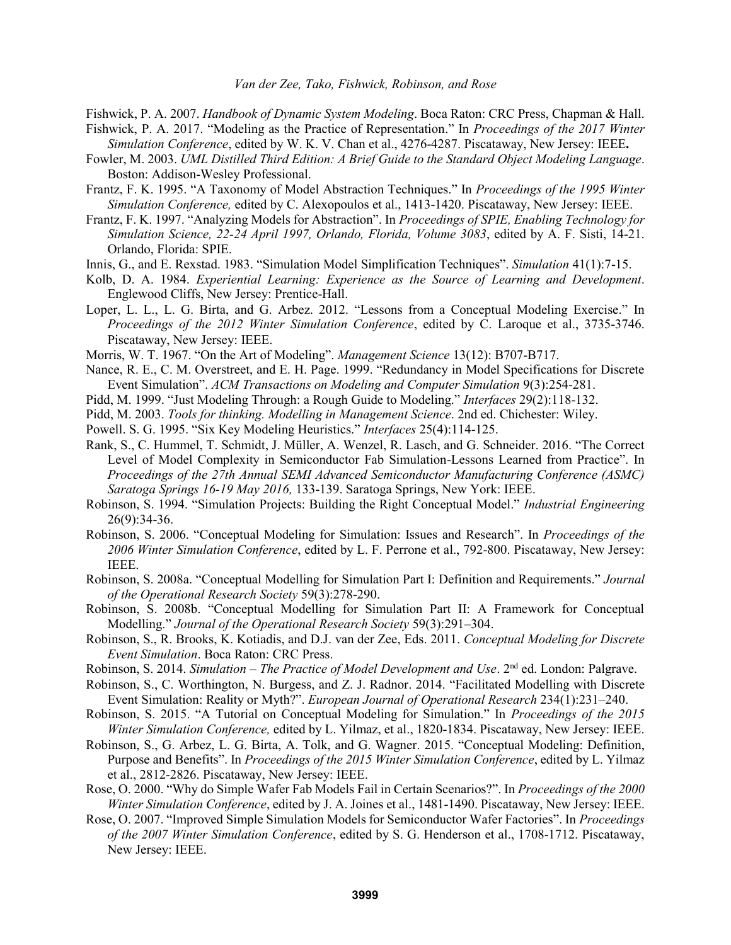Fishwick, P. A. 2007. *Handbook of Dynamic System Modeling*. Boca Raton: CRC Press, Chapman & Hall.

- Fishwick, P. A. 2017. "Modeling as the Practice of Representation." In *Proceedings of the 2017 Winter Simulation Conference*, edited by W. K. V. Chan et al., 4276-4287. Piscataway, New Jersey: IEEE**.**
- Fowler, M. 2003. *UML Distilled Third Edition: A Brief Guide to the Standard Object Modeling Language*. Boston: Addison-Wesley Professional.
- Frantz, F. K. 1995. "A Taxonomy of Model Abstraction Techniques." In *Proceedings of the 1995 Winter Simulation Conference,* edited by C. Alexopoulos et al., 1413-1420. Piscataway, New Jersey: IEEE.
- Frantz, F. K. 1997. "Analyzing Models for Abstraction". In *Proceedings of SPIE, Enabling Technology for Simulation Science, 22-24 April 1997, Orlando, Florida, Volume 3083*, edited by A. F. Sisti, 14-21. Orlando, Florida: SPIE.
- Innis, G., and E. Rexstad. 1983. "Simulation Model Simplification Techniques". *Simulation* 41(1):7-15.
- Kolb, D. A. 1984. *Experiential Learning: Experience as the Source of Learning and Development*. Englewood Cliffs, New Jersey: Prentice-Hall.
- Loper, L. L., L. G. Birta, and G. Arbez. 2012. "Lessons from a Conceptual Modeling Exercise." In *Proceedings of the 2012 Winter Simulation Conference*, edited by C. Laroque et al., 3735-3746. Piscataway, New Jersey: IEEE.
- Morris, W. T. 1967. "On the Art of Modeling". *Management Science* 13(12): B707-B717.
- Nance, R. E., C. M. Overstreet, and E. H. Page. 1999. "Redundancy in Model Specifications for Discrete Event Simulation". *ACM Transactions on Modeling and Computer Simulation* 9(3):254-281.
- Pidd, M. 1999. "Just Modeling Through: a Rough Guide to Modeling." *Interfaces* 29(2):118-132.
- Pidd, M. 2003. *Tools for thinking. Modelling in Management Science*. 2nd ed. Chichester: Wiley.
- Powell. S. G. 1995. "Six Key Modeling Heuristics." *Interfaces* 25(4):114-125.
- Rank, S., C. Hummel, T. Schmidt, J. Müller, A. Wenzel, R. Lasch, and G. Schneider. 2016. "The Correct Level of Model Complexity in Semiconductor Fab Simulation-Lessons Learned from Practice". In *Proceedings of the 27th Annual SEMI Advanced Semiconductor Manufacturing Conference (ASMC) Saratoga Springs 16-19 May 2016,* 133-139. Saratoga Springs, New York: IEEE.
- Robinson, S. 1994. "Simulation Projects: Building the Right Conceptual Model." *Industrial Engineering*  26(9):34-36.
- Robinson, S. 2006. "Conceptual Modeling for Simulation: Issues and Research". In *Proceedings of the 2006 Winter Simulation Conference*, edited by L. F. Perrone et al., 792-800. Piscataway, New Jersey: IEEE.
- Robinson, S. 2008a. "Conceptual Modelling for Simulation Part I: Definition and Requirements." *Journal of the Operational Research Society* 59(3):278-290.
- Robinson, S. 2008b. "Conceptual Modelling for Simulation Part II: A Framework for Conceptual Modelling." *Journal of the Operational Research Society* 59(3):291–304.
- Robinson, S., R. Brooks, K. Kotiadis, and D.J. van der Zee, Eds. 2011. *Conceptual Modeling for Discrete Event Simulation*. Boca Raton: CRC Press.
- Robinson, S. 2014. *Simulation The Practice of Model Development and Use*. 2<sup>nd</sup> ed. London: Palgrave.
- Robinson, S., C. Worthington, N. Burgess, and Z. J. Radnor. 2014. "Facilitated Modelling with Discrete Event Simulation: Reality or Myth?". *European Journal of Operational Research* 234(1):231–240.
- Robinson, S. 2015. "A Tutorial on Conceptual Modeling for Simulation." In *Proceedings of the 2015 Winter Simulation Conference,* edited by L. Yilmaz, et al., 1820-1834. Piscataway, New Jersey: IEEE.
- Robinson, S., G. Arbez, L. G. Birta, A. Tolk, and G. Wagner. 2015. "Conceptual Modeling: Definition, Purpose and Benefits". In *Proceedings of the 2015 Winter Simulation Conference*, edited by L. Yilmaz et al., 2812-2826. Piscataway, New Jersey: IEEE.
- Rose, O. 2000. "Why do Simple Wafer Fab Models Fail in Certain Scenarios?". In *Proceedings of the 2000 Winter Simulation Conference*, edited by J. A. Joines et al., 1481-1490. Piscataway, New Jersey: IEEE.
- Rose, O. 2007. "Improved Simple Simulation Models for Semiconductor Wafer Factories". In *Proceedings of the 2007 Winter Simulation Conference*, edited by S. G. Henderson et al., 1708-1712. Piscataway, New Jersey: IEEE.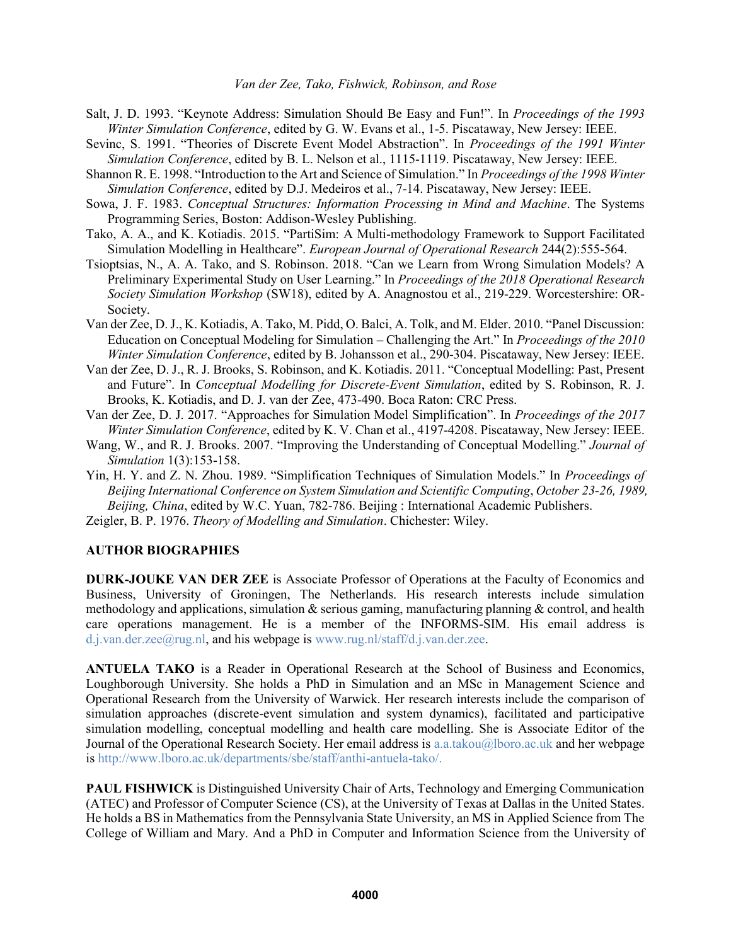- Salt, J. D. 1993. "Keynote Address: Simulation Should Be Easy and Fun!". In *Proceedings of the 1993 Winter Simulation Conference*, edited by G. W. Evans et al., 1-5. Piscataway, New Jersey: IEEE.
- Sevinc, S. 1991. "Theories of Discrete Event Model Abstraction". In *Proceedings of the 1991 Winter Simulation Conference*, edited by B. L. Nelson et al., 1115-1119. Piscataway, New Jersey: IEEE.
- Shannon R. E. 1998. "Introduction to the Art and Science of Simulation." In *Proceedings of the 1998 Winter Simulation Conference*, edited by D.J. Medeiros et al., 7-14. Piscataway, New Jersey: IEEE.
- Sowa, J. F. 1983. *Conceptual Structures: Information Processing in Mind and Machine*. The Systems Programming Series, Boston: Addison-Wesley Publishing.
- Tako, A. A., and K. Kotiadis. 2015. "PartiSim: A Multi-methodology Framework to Support Facilitated Simulation Modelling in Healthcare". *European Journal of Operational Research* 244(2):555-564.
- Tsioptsias, N., A. A. Tako, and S. Robinson. 2018. "Can we Learn from Wrong Simulation Models? A Preliminary Experimental Study on User Learning." In *Proceedings of the 2018 Operational Research Society Simulation Workshop* (SW18), edited by A. Anagnostou et al., 219-229. Worcestershire: OR-Society.
- Van der Zee, D.J., K. Kotiadis, A. Tako, M. Pidd, O. Balci, A. Tolk, and M. Elder. 2010. "Panel Discussion: Education on Conceptual Modeling for Simulation – Challenging the Art." In *Proceedings of the 2010 Winter Simulation Conference*, edited by B. Johansson et al., 290-304. Piscataway, New Jersey: IEEE.
- Van der Zee, D. J., R. J. Brooks, S. Robinson, and K. Kotiadis. 2011. "Conceptual Modelling: Past, Present and Future". In *Conceptual Modelling for Discrete-Event Simulation*, edited by S. Robinson, R. J. Brooks, K. Kotiadis, and D. J. van der Zee, 473-490. Boca Raton: CRC Press.
- Van der Zee, D. J. 2017. "Approaches for Simulation Model Simplification". In *Proceedings of the 2017 Winter Simulation Conference*, edited by K. V. Chan et al., 4197-4208. Piscataway, New Jersey: IEEE.
- Wang, W., and R. J. Brooks. 2007. "Improving the Understanding of Conceptual Modelling." *Journal of Simulation* 1(3):153-158.
- Yin, H. Y. and Z. N. Zhou. 1989. "Simplification Techniques of Simulation Models." In *Proceedings of Beijing International Conference on System Simulation and Scientific Computing*, *October 23-26, 1989, Beijing, China*, edited by W.C. Yuan, 782-786. Beijing : International Academic Publishers.
- Zeigler, B. P. 1976. *Theory of Modelling and Simulation*. Chichester: Wiley.

## **AUTHOR BIOGRAPHIES**

**DURK-JOUKE VAN DER ZEE** is Associate Professor of Operations at the Faculty of Economics and Business, University of Groningen, The Netherlands. His research interests include simulation methodology and applications, simulation  $\&$  serious gaming, manufacturing planning  $\&$  control, and health care operations management. He is a member of the INFORMS-SIM. His email address is d.j.van.der.zee@rug.nl, and his webpage is www.rug.nl/staff/d.j.van.der.zee.

**ANTUELA TAKO** is a Reader in Operational Research at the School of Business and Economics, Loughborough University. She holds a PhD in Simulation and an MSc in Management Science and Operational Research from the University of Warwick. Her research interests include the comparison of simulation approaches (discrete-event simulation and system dynamics), facilitated and participative simulation modelling, conceptual modelling and health care modelling. She is Associate Editor of the Journal of the Operational Research Society. Her email address is a.a.takou@lboro.ac.uk and her webpage is http://www.lboro.ac.uk/departments/sbe/staff/anthi-antuela-tako/.

**PAUL FISHWICK** is Distinguished University Chair of Arts, Technology and Emerging Communication (ATEC) and Professor of Computer Science (CS), at the University of Texas at Dallas in the United States. He holds a BS in Mathematics from the Pennsylvania State University, an MS in Applied Science from The College of William and Mary. And a PhD in Computer and Information Science from the University of